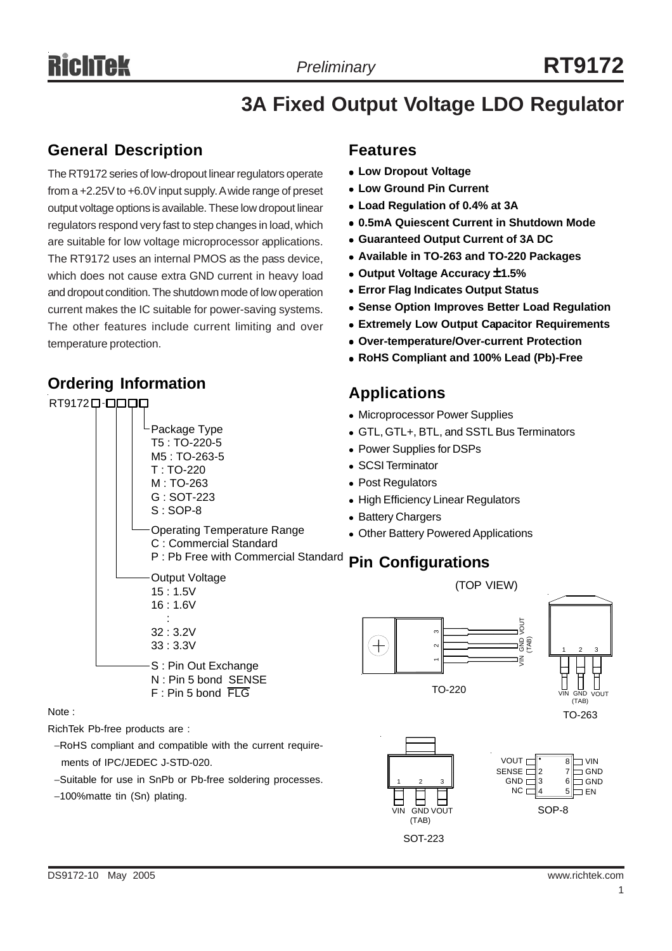# **3A Fixed Output Voltage LDO Regulator**

## **General Description**

The RT9172 series of low-dropout linear regulators operate from a +2.25V to +6.0V input supply. A wide range of preset output voltage options is available. These low dropout linear regulators respond very fast to step changes in load, which are suitable for low voltage microprocessor applications. The RT9172 uses an internal PMOS as the pass device, which does not cause extra GND current in heavy load and dropout condition. The shutdown mode of low operation current makes the IC suitable for power-saving systems. The other features include current limiting and over temperature protection.

## **Ordering Information**

## **Features**

- **Low Dropout Voltage**
- **Low Ground Pin Current**
- <sup>z</sup> **Load Regulation of 0.4% at 3A**
- <sup>z</sup> **0.5mA Quiescent Current in Shutdown Mode**
- $\bullet$  **Guaranteed Output Current of 3A DC**
- <sup>z</sup> **Available in TO-263 and TO-220 Packages**
- <sup>z</sup> **Output Voltage Accuracy** ±**1.5%**
- **Error Flag Indicates Output Status**
- **Sense Option Improves Better Load Regulation**
- **Extremely Low Output Capacitor Requirements**
- <sup>z</sup> **Over-temperature/Over-current Protection**
- <sup>z</sup> **RoHS Compliant and 100% Lead (Pb)-Free**

### **Applications**



Note :

- RichTek Pb-free products are :
	- −RoHS compliant and compatible with the current require ments of IPC/JEDEC J-STD-020.
	- −Suitable for use in SnPb or Pb-free soldering processes.
	- −100%matte tin (Sn) plating.



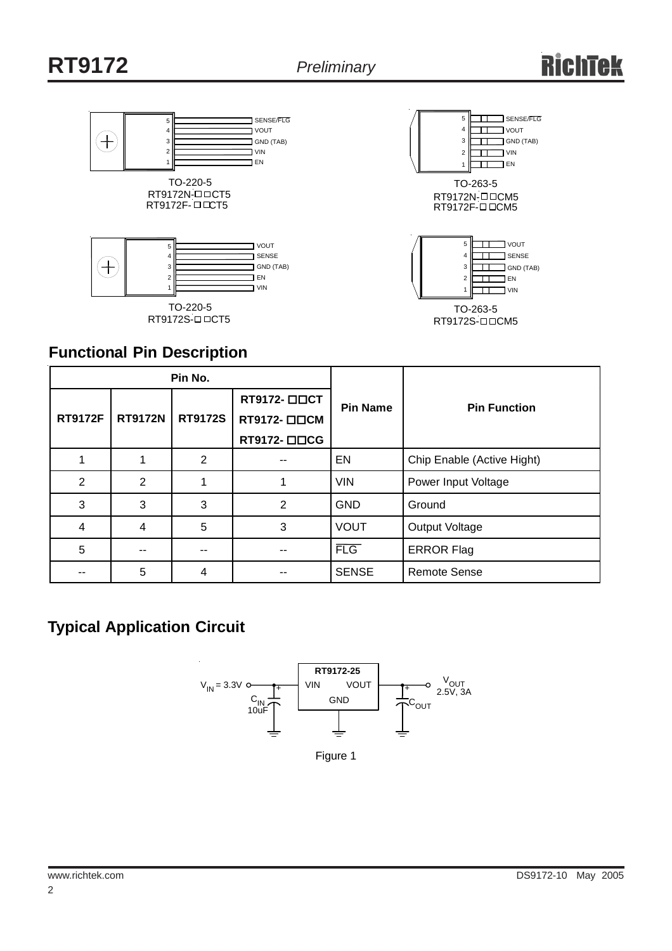



## **Functional Pin Description**

|                |                | Pin No.        |              |                 |                            |  |
|----------------|----------------|----------------|--------------|-----------------|----------------------------|--|
|                | <b>RT9172N</b> | <b>RT9172S</b> | RT9172- □□CT | <b>Pin Name</b> | <b>Pin Function</b>        |  |
| <b>RT9172F</b> |                |                | RT9172- □□CM |                 |                            |  |
|                |                |                | RT9172- □□CG |                 |                            |  |
|                |                | $\overline{2}$ |              | EN              | Chip Enable (Active Hight) |  |
| 2              | 2              |                |              | <b>VIN</b>      | Power Input Voltage        |  |
| 3              | 3              | 3              | 2            | <b>GND</b>      | Ground                     |  |
| 4              | 4              | 5              | 3            | <b>VOUT</b>     | Output Voltage             |  |
| 5              |                | --             |              | FLG             | <b>ERROR Flag</b>          |  |
|                | 5              | 4              |              | <b>SENSE</b>    | <b>Remote Sense</b>        |  |

## **Typical Application Circuit**



Figure 1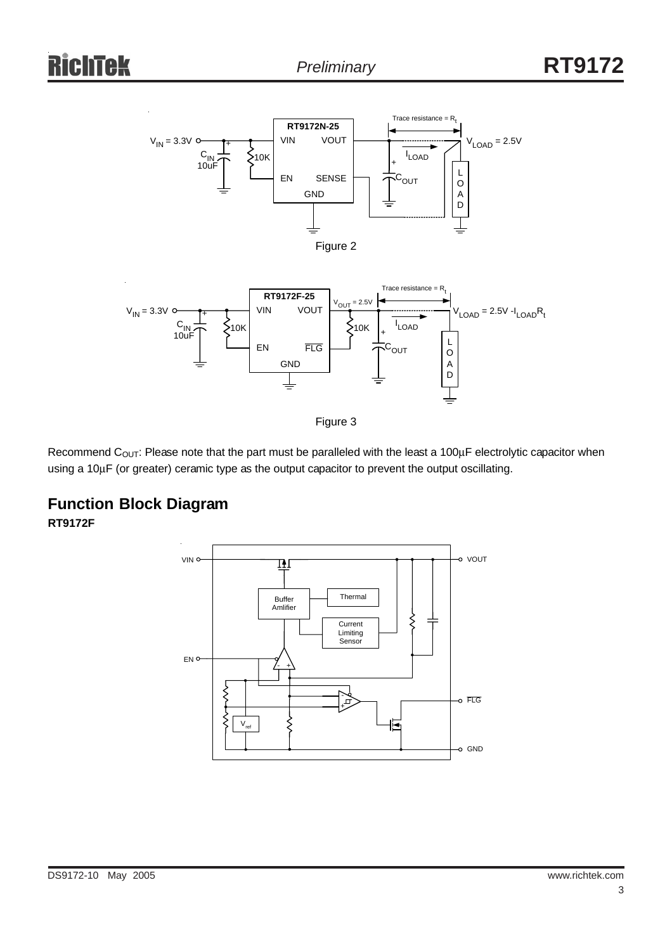





Recommend C<sub>OUT</sub>: Please note that the part must be paralleled with the least a 100 $\mu$ F electrolytic capacitor when using a 10μF (or greater) ceramic type as the output capacitor to prevent the output oscillating.

## **Function Block Diagram**

**RT9172F**

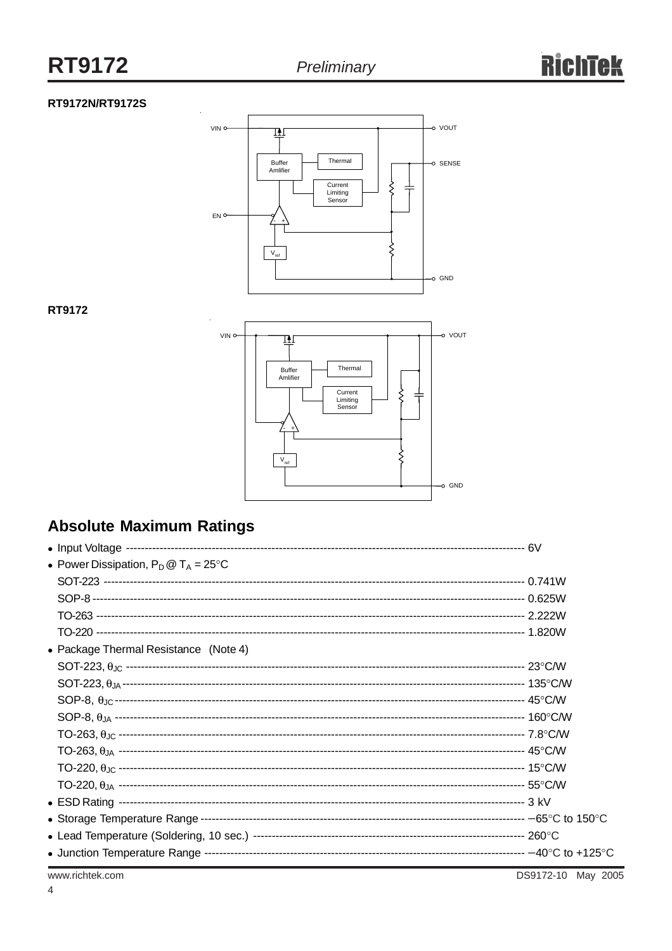#### RT9172N/RT9172S



#### RT9172



## **Absolute Maximum Ratings**

| • Power Dissipation, $P_D @ T_A = 25^{\circ}C$ |  |
|------------------------------------------------|--|
|                                                |  |
|                                                |  |
|                                                |  |
|                                                |  |
| • Package Thermal Resistance (Note 4)          |  |
|                                                |  |
|                                                |  |
|                                                |  |
|                                                |  |
|                                                |  |
|                                                |  |
|                                                |  |
|                                                |  |
|                                                |  |
|                                                |  |
|                                                |  |
|                                                |  |
|                                                |  |

www.richtek.com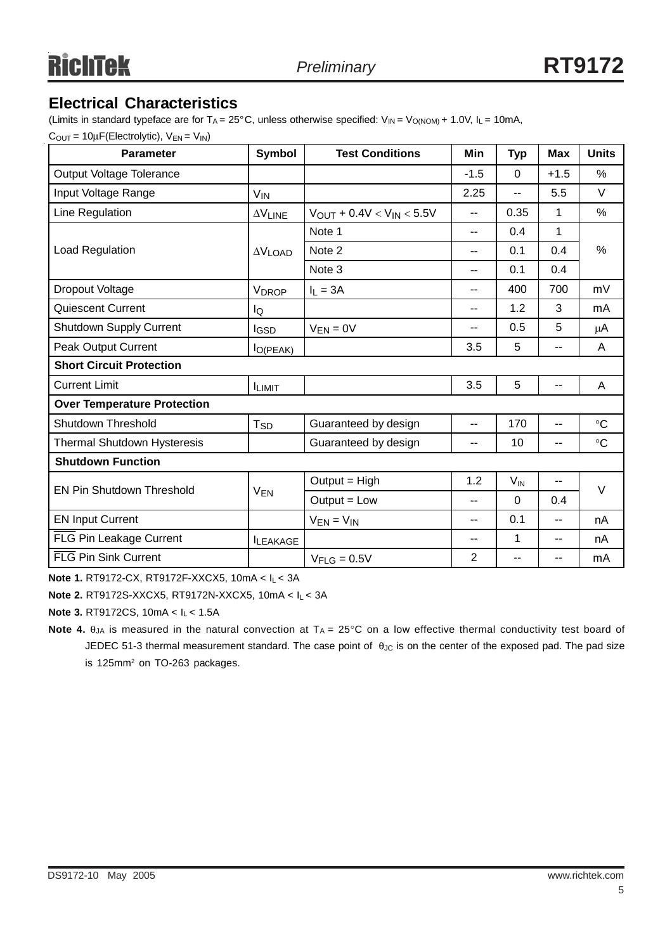## **Electrical Characteristics**

(Limits in standard typeface are for T<sub>A</sub> = 25°C, unless otherwise specified:  $V_{IN} = V_{O(NOM)} + 1.0V$ ,  $I_L = 10mA$ ,

 $C_{\text{OUT}} = 10 \mu \text{F}(\text{Electrolytic})$ ,  $V_{\text{EN}} = V_{\text{IN}}$ 

| <b>Parameter</b>                   | <b>Symbol</b>         | <b>Test Conditions</b>           | Min            | <b>Typ</b>      | <b>Max</b> | <b>Units</b>    |  |
|------------------------------------|-----------------------|----------------------------------|----------------|-----------------|------------|-----------------|--|
| Output Voltage Tolerance           |                       |                                  | $-1.5$         | $\Omega$        | $+1.5$     | %               |  |
| Input Voltage Range                | <b>V<sub>IN</sub></b> |                                  | 2.25           | --              | 5.5        | V               |  |
| Line Regulation                    | $\Delta V$ LINE       | $V_{OUT} + 0.4V < V_{IN} < 5.5V$ | --             | 0.35            | 1          | $\%$            |  |
|                                    |                       | Note 1                           | --             | 0.4             | 1          |                 |  |
| Load Regulation                    | $\Delta V$ LOAD       | Note 2                           | $-$            | 0.1             | 0.4        | $\frac{0}{0}$   |  |
|                                    |                       | Note 3                           | --             | 0.1             | 0.4        |                 |  |
| Dropout Voltage                    | <b>VDROP</b>          | $I_1 = 3A$                       | --             | 400             | 700        | mV              |  |
| Quiescent Current                  | lQ                    |                                  | $- -$          | 1.2             | 3          | mA              |  |
| Shutdown Supply Current            | <b>I</b> GSD          | $V_{EN} = 0V$                    | --             | 0.5             | 5          | $\mu$ A         |  |
| Peak Output Current                | $I_{O(PEAK)}$         |                                  | 3.5            | 5               | --         | A               |  |
| <b>Short Circuit Protection</b>    |                       |                                  |                |                 |            |                 |  |
| <b>Current Limit</b>               | <b>ILIMIT</b>         |                                  | 3.5            | 5               | $-$        | A               |  |
| <b>Over Temperature Protection</b> |                       |                                  |                |                 |            |                 |  |
| Shutdown Threshold                 | $T_{SD}$              | Guaranteed by design             | $-$            | 170             | $-$        | $\circ$ C       |  |
| Thermal Shutdown Hysteresis        |                       | Guaranteed by design             | --             | 10              | --         | $\rm ^{\circ}C$ |  |
| <b>Shutdown Function</b>           |                       |                                  |                |                 |            |                 |  |
| <b>EN Pin Shutdown Threshold</b>   |                       | Output = High                    | 1.2            | $V_{\text{IN}}$ | --         | V               |  |
|                                    | <b>VEN</b>            | $Output = Low$                   | --             | $\Omega$        | 0.4        |                 |  |
| <b>EN Input Current</b>            |                       | $V_{EN} = V_{IN}$                | --             | 0.1             | $- -$      | nA              |  |
| FLG Pin Leakage Current            | <b>ILEAKAGE</b>       |                                  | $-$            | $\mathbf{1}$    | --         | nA              |  |
| FLG Pin Sink Current               |                       | $V_{FLG} = 0.5V$                 | $\overline{2}$ |                 | --         | mA              |  |

**Note 1.** RT9172-CX, RT9172F-XXCX5, 10mA < IL < 3A

**Note 2.** RT9172S-XXCX5, RT9172N-XXCX5, 10mA < IL < 3A

**Note 3.** RT9172CS, 10mA < IL < 1.5A

**Note 4.**  $\theta_{JA}$  is measured in the natural convection at  $T_A = 25^\circ \text{C}$  on a low effective thermal conductivity test board of JEDEC 51-3 thermal measurement standard. The case point of θ<sub>JC</sub> is on the center of the exposed pad. The pad size is 125mm<sup>2</sup> on TO-263 packages.

5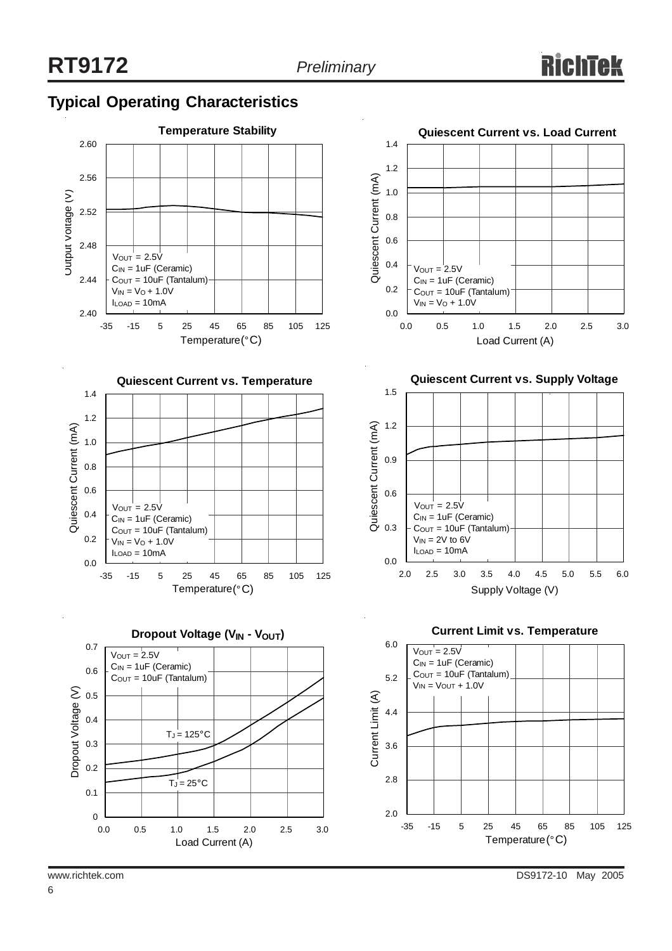## **Typical Operating Characteristics**

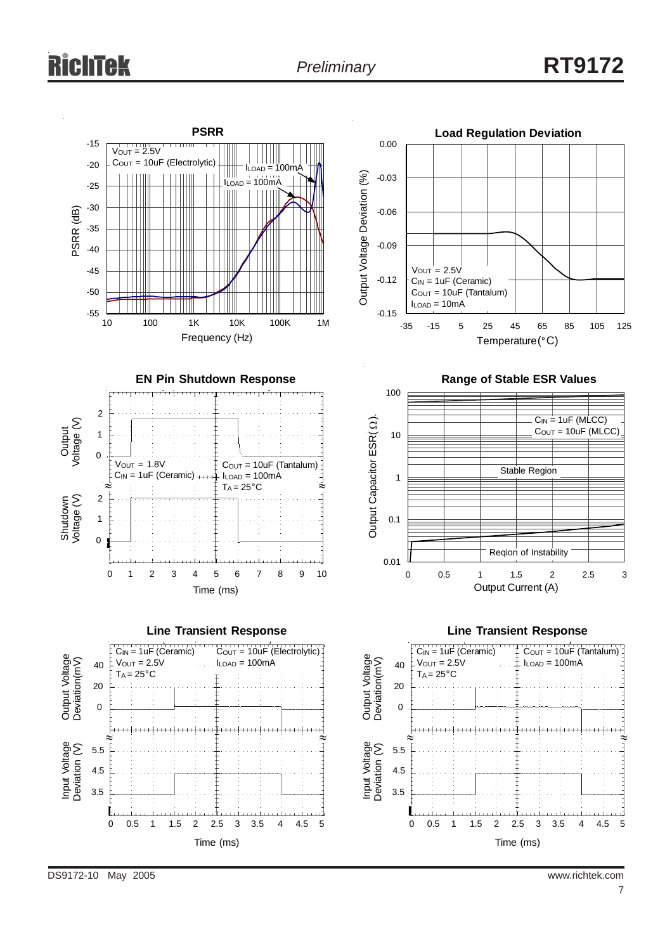







Temperature (°C)





DS9172-10 May 2005 www.richtek.com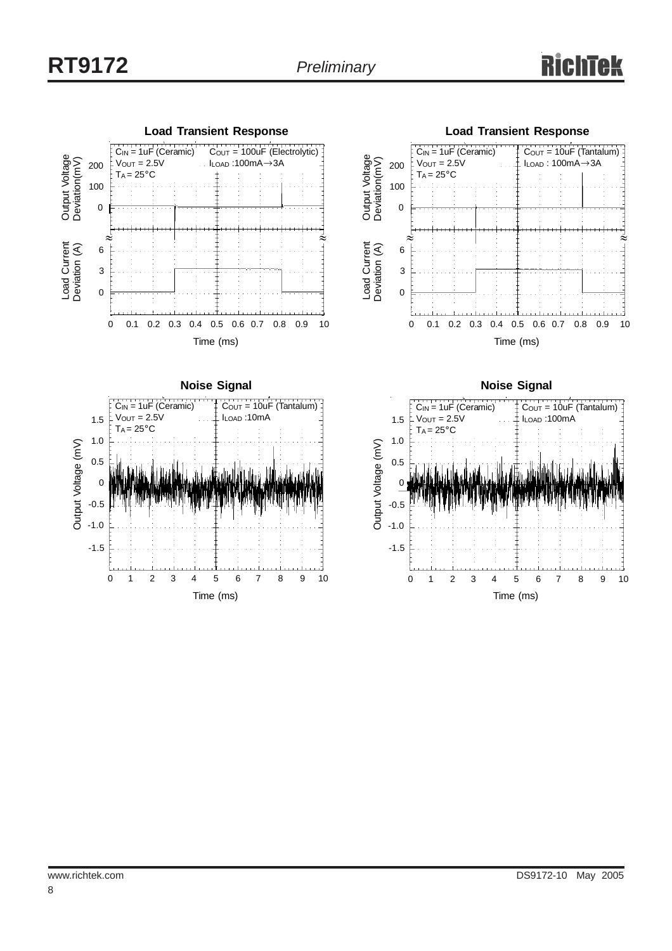





**Noise Signal** C<sub>IN</sub> = 1uF (Ceramic)  $C<sub>OUT</sub> = 10uF (Tantalum)$  $V_{OUT} = 2.5V$  ILOAD :100mA 1.5  $T_A = 25^{\circ}C$  1.0 Output Voltage (mV) Output Voltage (mV) 0.5  $\mathcal{C}$ -0.5 -1.0 -1.5 0 1 2 3 4 5 6 7 8 9 10 Time (ms)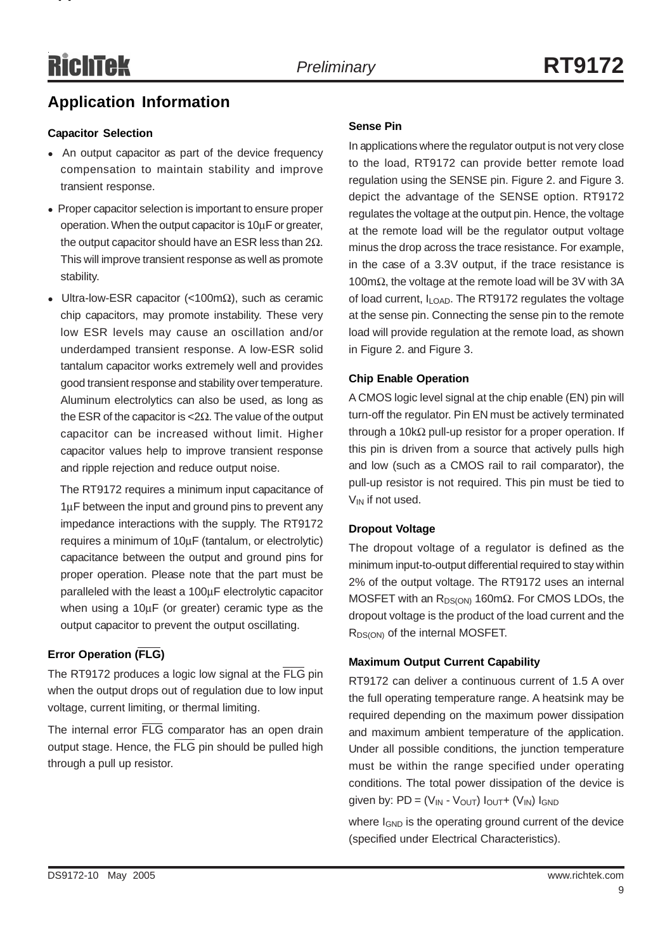**pp**

## **Application Information**

#### **Capacitor Selection**

- An output capacitor as part of the device frequency compensation to maintain stability and improve transient response.
- Proper capacitor selection is important to ensure proper operation. When the output capacitor is 10μF or greater, the output capacitor should have an ESR less than  $2Ω$ . This will improve transient response as well as promote stability.
- Ultra-low-ESR capacitor (<100m $\Omega$ ), such as ceramic chip capacitors, may promote instability. These very low ESR levels may cause an oscillation and/or underdamped transient response. A low-ESR solid tantalum capacitor works extremely well and provides good transient response and stability over temperature. Aluminum electrolytics can also be used, as long as the ESR of the capacitor is <2 $Ω$ . The value of the output capacitor can be increased without limit. Higher capacitor values help to improve transient response and ripple rejection and reduce output noise.

 The RT9172 requires a minimum input capacitance of 1μF between the input and ground pins to prevent any impedance interactions with the supply. The RT9172 requires a minimum of 10μF (tantalum, or electrolytic) capacitance between the output and ground pins for proper operation. Please note that the part must be paralleled with the least a 100μF electrolytic capacitor when using a 10μF (or greater) ceramic type as the output capacitor to prevent the output oscillating.

#### **Error Operation (FLG)**

The RT9172 produces a logic low signal at the FLG pin when the output drops out of regulation due to low input voltage, current limiting, or thermal limiting.

The internal error FLG comparator has an open drain output stage. Hence, the FLG pin should be pulled high through a pull up resistor.

#### **Sense Pin**

In applications where the regulator output is not very close to the load, RT9172 can provide better remote load regulation using the SENSE pin. Figure 2. and Figure 3. depict the advantage of the SENSE option. RT9172 regulates the voltage at the output pin. Hence, the voltage at the remote load will be the regulator output voltage minus the drop across the trace resistance. For example, in the case of a 3.3V output, if the trace resistance is 100m $Ω$ , the voltage at the remote load will be 3V with 3A of load current, I<sub>LOAD</sub>. The RT9172 regulates the voltage at the sense pin. Connecting the sense pin to the remote load will provide regulation at the remote load, as shown in Figure 2. and Figure 3.

#### **Chip Enable Operation**

A CMOS logic level signal at the chip enable (EN) pin will turn-off the regulator. Pin EN must be actively terminated through a 10kΩ pull-up resistor for a proper operation. If this pin is driven from a source that actively pulls high and low (such as a CMOS rail to rail comparator), the pull-up resistor is not required. This pin must be tied to  $V_{IN}$  if not used.

#### **Dropout Voltage**

The dropout voltage of a regulator is defined as the minimum input-to-output differential required to stay within 2% of the output voltage. The RT9172 uses an internal MOSFET with an  $R_{DS(ON)}$  160m $\Omega$ . For CMOS LDOs, the dropout voltage is the product of the load current and the R<sub>DS(ON)</sub> of the internal MOSFET.

#### **Maximum Output Current Capability**

RT9172 can deliver a continuous current of 1.5 A over the full operating temperature range. A heatsink may be required depending on the maximum power dissipation and maximum ambient temperature of the application. Under all possible conditions, the junction temperature must be within the range specified under operating conditions. The total power dissipation of the device is given by:  $PD = (V_{IN} - V_{OUT}) I_{OUT} + (V_{IN}) I_{GND}$ 

where I<sub>GND</sub> is the operating ground current of the device (specified under Electrical Characteristics).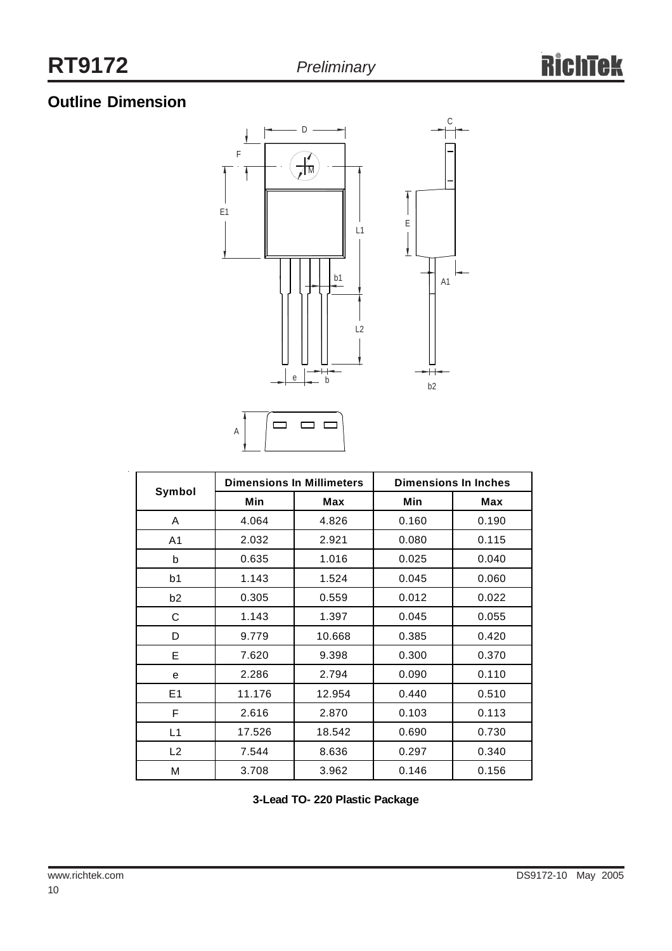# **Outline Dimension**

 $\bar{z}$ 





|                |        | <b>Dimensions In Millimeters</b> | <b>Dimensions In Inches</b> |            |  |
|----------------|--------|----------------------------------|-----------------------------|------------|--|
| Symbol         | Min    | Max                              | Min                         | <b>Max</b> |  |
| A              | 4.064  | 4.826                            | 0.160                       | 0.190      |  |
| A <sub>1</sub> | 2.032  | 2.921                            | 0.080                       | 0.115      |  |
| b              | 0.635  | 1.016                            | 0.025                       | 0.040      |  |
| b <sub>1</sub> | 1.143  | 1.524                            | 0.045                       | 0.060      |  |
| b <sub>2</sub> | 0.305  | 0.559                            | 0.012                       | 0.022      |  |
| С              | 1.143  | 1.397                            | 0.045                       | 0.055      |  |
| D              | 9.779  | 10.668                           | 0.385                       | 0.420      |  |
| E              | 7.620  | 9.398                            | 0.300                       | 0.370      |  |
| е              | 2.286  | 2.794                            | 0.090                       | 0.110      |  |
| E <sub>1</sub> | 11.176 | 12.954                           | 0.440                       | 0.510      |  |
| F              | 2.616  | 2.870                            | 0.103                       | 0.113      |  |
| L1             | 17.526 | 18.542                           | 0.690                       | 0.730      |  |
| L2             | 7.544  | 8.636                            | 0.297                       | 0.340      |  |
| М              | 3.708  | 3.962                            | 0.146                       | 0.156      |  |

**3-Lead TO- 220 Plastic Package**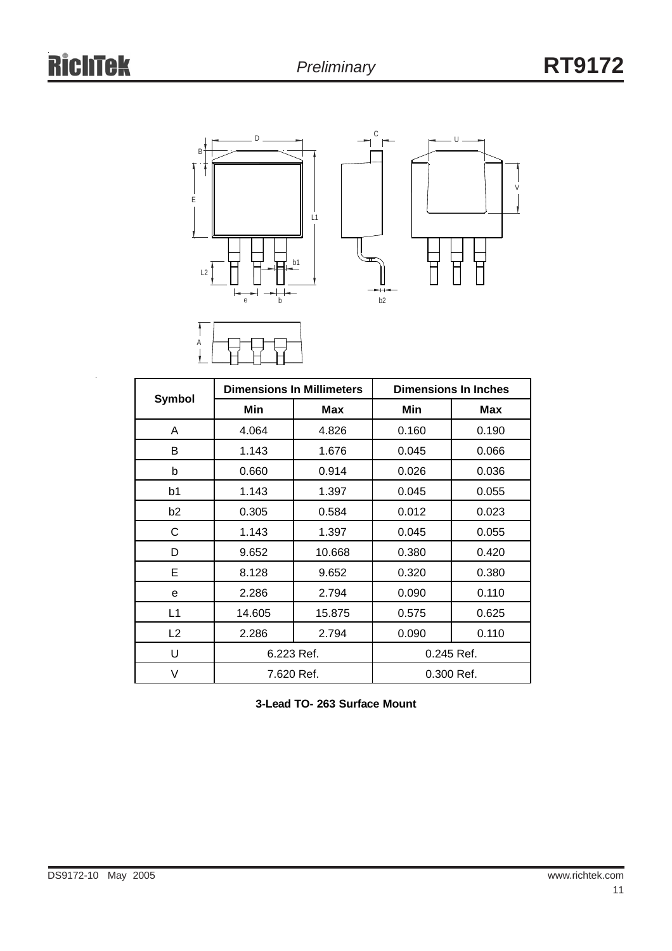



A

|                |            | <b>Dimensions In Millimeters</b> | <b>Dimensions In Inches</b> |       |  |
|----------------|------------|----------------------------------|-----------------------------|-------|--|
| Symbol         | Min        | Max                              | Min                         | Max   |  |
| A              | 4.064      | 4.826                            | 0.160                       | 0.190 |  |
| В              | 1.143      | 1.676                            | 0.045                       | 0.066 |  |
| b              | 0.660      | 0.914                            | 0.026                       | 0.036 |  |
| b1             | 1.143      | 1.397                            | 0.045                       | 0.055 |  |
| b <sub>2</sub> | 0.305      | 0.584                            | 0.012                       | 0.023 |  |
| С              | 1.143      | 1.397                            | 0.045                       | 0.055 |  |
| D              | 9.652      | 10.668                           | 0.380                       | 0.420 |  |
| Е              | 8.128      | 9.652                            | 0.320                       | 0.380 |  |
| е              | 2.286      | 2.794                            | 0.090                       | 0.110 |  |
| L1             | 14.605     | 15.875                           | 0.575                       | 0.625 |  |
| L2             | 2.286      | 2.794                            | 0.090                       | 0.110 |  |
| U              | 6.223 Ref. |                                  | 0.245 Ref.                  |       |  |
| V              | 7.620 Ref. |                                  | 0.300 Ref.                  |       |  |

**3-Lead TO- 263 Surface Mount**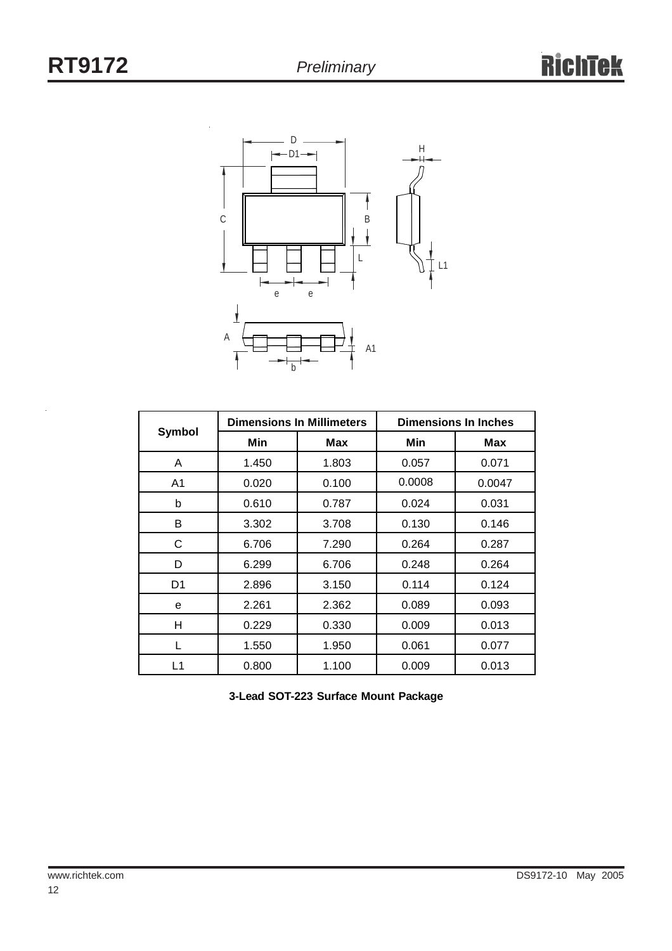

|                | <b>Dimensions In Millimeters</b> |       | <b>Dimensions In Inches</b> |            |  |
|----------------|----------------------------------|-------|-----------------------------|------------|--|
| Symbol         | Min                              | Max   | Min                         | <b>Max</b> |  |
| A              | 1.450                            | 1.803 | 0.057                       | 0.071      |  |
| A <sub>1</sub> | 0.020                            | 0.100 | 0.0008                      | 0.0047     |  |
| b              | 0.610                            | 0.787 | 0.024                       | 0.031      |  |
| B              | 3.302                            | 3.708 | 0.130                       | 0.146      |  |
| С              | 6.706                            | 7.290 | 0.264                       | 0.287      |  |
| D              | 6.299                            | 6.706 | 0.248                       | 0.264      |  |
| D1             | 2.896                            | 3.150 | 0.114                       | 0.124      |  |
| e              | 2.261                            | 2.362 | 0.089                       | 0.093      |  |
| H              | 0.229                            | 0.330 | 0.009                       | 0.013      |  |
|                | 1.550                            | 1.950 | 0.061                       | 0.077      |  |
| L1             | 0.800                            | 1.100 | 0.009                       | 0.013      |  |

**3-Lead SOT-223 Surface Mount Package**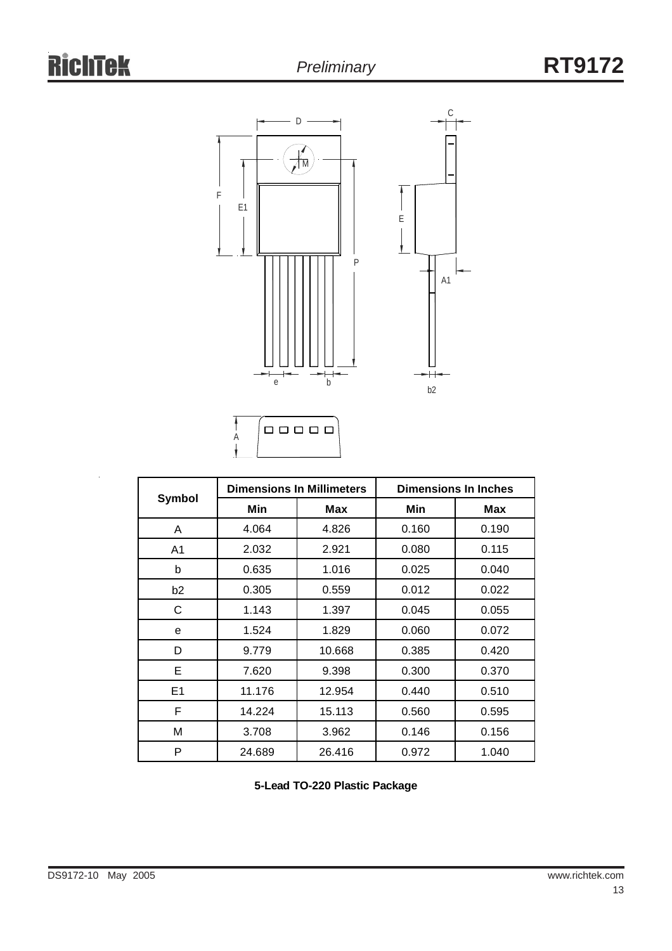



|                |        | <b>Dimensions In Millimeters</b> | <b>Dimensions In Inches</b> |       |  |
|----------------|--------|----------------------------------|-----------------------------|-------|--|
| <b>Symbol</b>  | Min    | <b>Max</b>                       | Min                         | Max   |  |
| A              | 4.064  | 4.826                            | 0.160                       | 0.190 |  |
| A1             | 2.032  | 2.921                            | 0.080                       | 0.115 |  |
| b              | 0.635  | 1.016                            | 0.025                       | 0.040 |  |
| b <sub>2</sub> | 0.305  | 0.559                            | 0.012                       | 0.022 |  |
| C              | 1.143  | 1.397                            | 0.045                       | 0.055 |  |
| e              | 1.524  | 1.829                            | 0.060                       | 0.072 |  |
| D              | 9.779  | 10.668                           | 0.385                       | 0.420 |  |
| Е              | 7.620  | 9.398                            | 0.300                       | 0.370 |  |
| E <sub>1</sub> | 11.176 | 12.954                           | 0.440                       | 0.510 |  |
| F              | 14.224 | 15.113                           | 0.560                       | 0.595 |  |
| М              | 3.708  | 3.962                            | 0.146                       | 0.156 |  |
| P              | 24.689 | 26.416                           | 0.972                       | 1.040 |  |

**5-Lead TO-220 Plastic Package**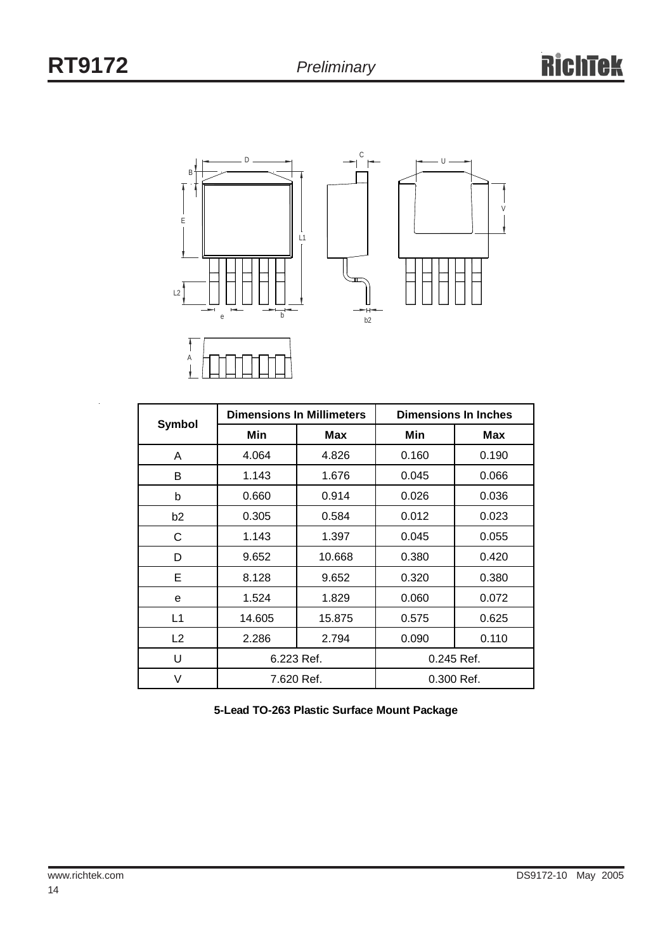



| <b>Symbol</b>  |            | <b>Dimensions In Millimeters</b> | <b>Dimensions In Inches</b> |       |  |
|----------------|------------|----------------------------------|-----------------------------|-------|--|
|                | Min        | Max                              | Min                         | Max   |  |
| A              | 4.064      | 4.826                            | 0.160                       | 0.190 |  |
| В              | 1.143      | 1.676                            | 0.045                       | 0.066 |  |
| b              | 0.660      | 0.914                            | 0.026                       | 0.036 |  |
| b <sub>2</sub> | 0.305      | 0.584                            | 0.012                       | 0.023 |  |
| C              | 1.143      | 1.397                            | 0.045                       | 0.055 |  |
| D              | 9.652      | 10.668                           | 0.380                       | 0.420 |  |
| Е              | 8.128      | 9.652                            | 0.320                       | 0.380 |  |
| e              | 1.524      | 1.829                            | 0.060                       | 0.072 |  |
| L1             | 14.605     | 15.875                           | 0.575                       | 0.625 |  |
| L <sub>2</sub> | 2.286      | 2.794                            | 0.090                       | 0.110 |  |
| U              | 6.223 Ref. |                                  | 0.245 Ref.                  |       |  |
| V              | 7.620 Ref. |                                  | 0.300 Ref.                  |       |  |

**5-Lead TO-263 Plastic Surface Mount Package**